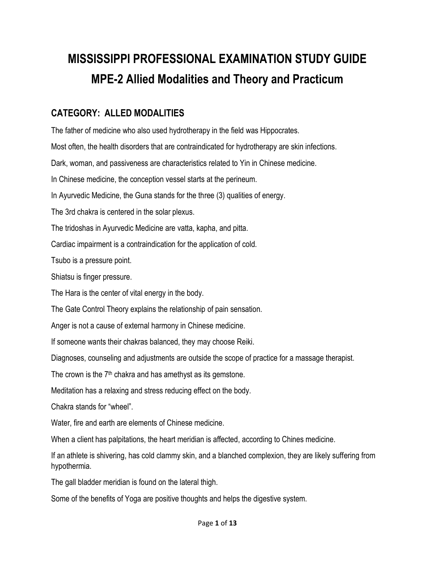## **MISSISSIPPI PROFESSIONAL EXAMINATION STUDY GUIDE MPE-2 Allied Modalities and Theory and Practicum**

## **CATEGORY: ALLED MODALITIES**

The father of medicine who also used hydrotherapy in the field was Hippocrates. Most often, the health disorders that are contraindicated for hydrotherapy are skin infections. Dark, woman, and passiveness are characteristics related to Yin in Chinese medicine. In Chinese medicine, the conception vessel starts at the perineum. In Ayurvedic Medicine, the Guna stands for the three (3) qualities of energy. The 3rd chakra is centered in the solar plexus. The tridoshas in Ayurvedic Medicine are vatta, kapha, and pitta. Cardiac impairment is a contraindication for the application of cold. Tsubo is a pressure point. Shiatsu is finger pressure. The Hara is the center of vital energy in the body. The Gate Control Theory explains the relationship of pain sensation. Anger is not a cause of external harmony in Chinese medicine. If someone wants their chakras balanced, they may choose Reiki. Diagnoses, counseling and adjustments are outside the scope of practice for a massage therapist. The crown is the  $7<sup>th</sup>$  chakra and has amethyst as its gemstone. Meditation has a relaxing and stress reducing effect on the body. Chakra stands for "wheel". Water, fire and earth are elements of Chinese medicine. When a client has palpitations, the heart meridian is affected, according to Chines medicine. If an athlete is shivering, has cold clammy skin, and a blanched complexion, they are likely suffering from hypothermia. The gall bladder meridian is found on the lateral thigh.

Some of the benefits of Yoga are positive thoughts and helps the digestive system.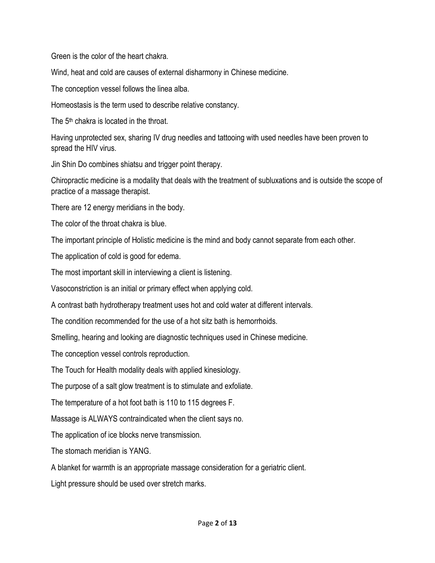Green is the color of the heart chakra.

Wind, heat and cold are causes of external disharmony in Chinese medicine.

The conception vessel follows the linea alba.

Homeostasis is the term used to describe relative constancy.

The 5<sup>th</sup> chakra is located in the throat.

Having unprotected sex, sharing IV drug needles and tattooing with used needles have been proven to spread the HIV virus.

Jin Shin Do combines shiatsu and trigger point therapy.

Chiropractic medicine is a modality that deals with the treatment of subluxations and is outside the scope of practice of a massage therapist.

There are 12 energy meridians in the body.

The color of the throat chakra is blue.

The important principle of Holistic medicine is the mind and body cannot separate from each other.

The application of cold is good for edema.

The most important skill in interviewing a client is listening.

Vasoconstriction is an initial or primary effect when applying cold.

A contrast bath hydrotherapy treatment uses hot and cold water at different intervals.

The condition recommended for the use of a hot sitz bath is hemorrhoids.

Smelling, hearing and looking are diagnostic techniques used in Chinese medicine.

The conception vessel controls reproduction.

The Touch for Health modality deals with applied kinesiology.

The purpose of a salt glow treatment is to stimulate and exfoliate.

The temperature of a hot foot bath is 110 to 115 degrees F.

Massage is ALWAYS contraindicated when the client says no.

The application of ice blocks nerve transmission.

The stomach meridian is YANG.

A blanket for warmth is an appropriate massage consideration for a geriatric client.

Light pressure should be used over stretch marks.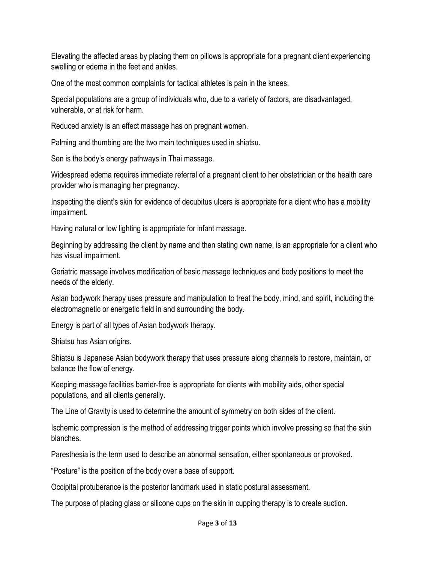Elevating the affected areas by placing them on pillows is appropriate for a pregnant client experiencing swelling or edema in the feet and ankles.

One of the most common complaints for tactical athletes is pain in the knees.

Special populations are a group of individuals who, due to a variety of factors, are disadvantaged, vulnerable, or at risk for harm.

Reduced anxiety is an effect massage has on pregnant women.

Palming and thumbing are the two main techniques used in shiatsu.

Sen is the body's energy pathways in Thai massage.

Widespread edema requires immediate referral of a pregnant client to her obstetrician or the health care provider who is managing her pregnancy.

Inspecting the client's skin for evidence of decubitus ulcers is appropriate for a client who has a mobility impairment.

Having natural or low lighting is appropriate for infant massage.

Beginning by addressing the client by name and then stating own name, is an appropriate for a client who has visual impairment.

Geriatric massage involves modification of basic massage techniques and body positions to meet the needs of the elderly.

Asian bodywork therapy uses pressure and manipulation to treat the body, mind, and spirit, including the electromagnetic or energetic field in and surrounding the body.

Energy is part of all types of Asian bodywork therapy.

Shiatsu has Asian origins.

Shiatsu is Japanese Asian bodywork therapy that uses pressure along channels to restore, maintain, or balance the flow of energy.

Keeping massage facilities barrier-free is appropriate for clients with mobility aids, other special populations, and all clients generally.

The Line of Gravity is used to determine the amount of symmetry on both sides of the client.

Ischemic compression is the method of addressing trigger points which involve pressing so that the skin blanches.

Paresthesia is the term used to describe an abnormal sensation, either spontaneous or provoked.

"Posture" is the position of the body over a base of support.

Occipital protuberance is the posterior landmark used in static postural assessment.

The purpose of placing glass or silicone cups on the skin in cupping therapy is to create suction.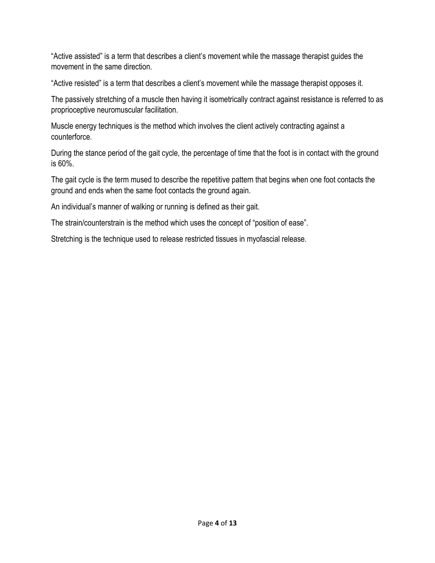"Active assisted" is a term that describes a client's movement while the massage therapist guides the movement in the same direction.

"Active resisted" is a term that describes a client's movement while the massage therapist opposes it.

The passively stretching of a muscle then having it isometrically contract against resistance is referred to as proprioceptive neuromuscular facilitation.

Muscle energy techniques is the method which involves the client actively contracting against a counterforce.

During the stance period of the gait cycle, the percentage of time that the foot is in contact with the ground is 60%.

The gait cycle is the term mused to describe the repetitive pattern that begins when one foot contacts the ground and ends when the same foot contacts the ground again.

An individual's manner of walking or running is defined as their gait.

The strain/counterstrain is the method which uses the concept of "position of ease".

Stretching is the technique used to release restricted tissues in myofascial release.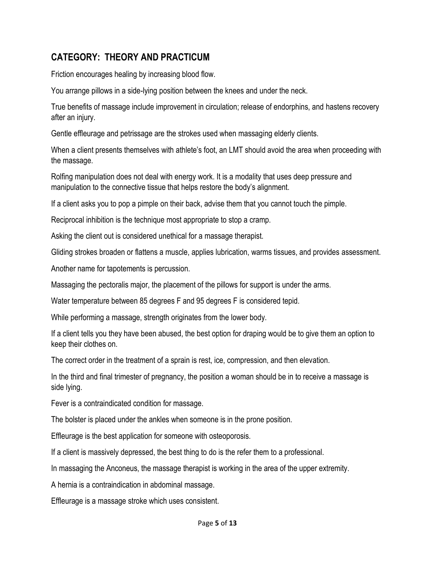## **CATEGORY: THEORY AND PRACTICUM**

Friction encourages healing by increasing blood flow.

You arrange pillows in a side-lying position between the knees and under the neck.

True benefits of massage include improvement in circulation; release of endorphins, and hastens recovery after an injury.

Gentle effleurage and petrissage are the strokes used when massaging elderly clients.

When a client presents themselves with athlete's foot, an LMT should avoid the area when proceeding with the massage.

Rolfing manipulation does not deal with energy work. It is a modality that uses deep pressure and manipulation to the connective tissue that helps restore the body's alignment.

If a client asks you to pop a pimple on their back, advise them that you cannot touch the pimple.

Reciprocal inhibition is the technique most appropriate to stop a cramp.

Asking the client out is considered unethical for a massage therapist.

Gliding strokes broaden or flattens a muscle, applies lubrication, warms tissues, and provides assessment.

Another name for tapotements is percussion.

Massaging the pectoralis major, the placement of the pillows for support is under the arms.

Water temperature between 85 degrees F and 95 degrees F is considered tepid.

While performing a massage, strength originates from the lower body.

If a client tells you they have been abused, the best option for draping would be to give them an option to keep their clothes on.

The correct order in the treatment of a sprain is rest, ice, compression, and then elevation.

In the third and final trimester of pregnancy, the position a woman should be in to receive a massage is side lying.

Fever is a contraindicated condition for massage.

The bolster is placed under the ankles when someone is in the prone position.

Effleurage is the best application for someone with osteoporosis.

If a client is massively depressed, the best thing to do is the refer them to a professional.

In massaging the Anconeus, the massage therapist is working in the area of the upper extremity.

A hernia is a contraindication in abdominal massage.

Effleurage is a massage stroke which uses consistent.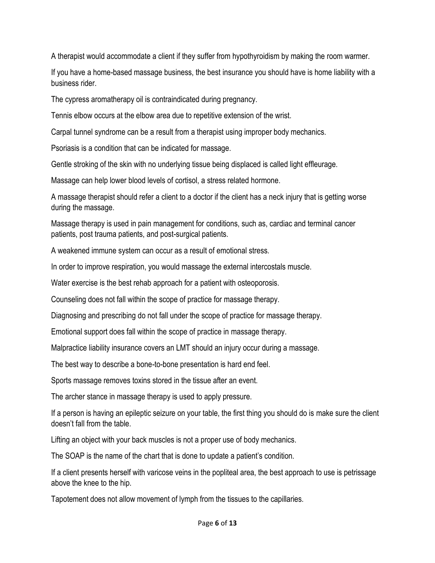A therapist would accommodate a client if they suffer from hypothyroidism by making the room warmer.

If you have a home-based massage business, the best insurance you should have is home liability with a business rider.

The cypress aromatherapy oil is contraindicated during pregnancy.

Tennis elbow occurs at the elbow area due to repetitive extension of the wrist.

Carpal tunnel syndrome can be a result from a therapist using improper body mechanics.

Psoriasis is a condition that can be indicated for massage.

Gentle stroking of the skin with no underlying tissue being displaced is called light effleurage.

Massage can help lower blood levels of cortisol, a stress related hormone.

A massage therapist should refer a client to a doctor if the client has a neck injury that is getting worse during the massage.

Massage therapy is used in pain management for conditions, such as, cardiac and terminal cancer patients, post trauma patients, and post-surgical patients.

A weakened immune system can occur as a result of emotional stress.

In order to improve respiration, you would massage the external intercostals muscle.

Water exercise is the best rehab approach for a patient with osteoporosis.

Counseling does not fall within the scope of practice for massage therapy.

Diagnosing and prescribing do not fall under the scope of practice for massage therapy.

Emotional support does fall within the scope of practice in massage therapy.

Malpractice liability insurance covers an LMT should an injury occur during a massage.

The best way to describe a bone-to-bone presentation is hard end feel.

Sports massage removes toxins stored in the tissue after an event.

The archer stance in massage therapy is used to apply pressure.

If a person is having an epileptic seizure on your table, the first thing you should do is make sure the client doesn't fall from the table.

Lifting an object with your back muscles is not a proper use of body mechanics.

The SOAP is the name of the chart that is done to update a patient's condition.

If a client presents herself with varicose veins in the popliteal area, the best approach to use is petrissage above the knee to the hip.

Tapotement does not allow movement of lymph from the tissues to the capillaries.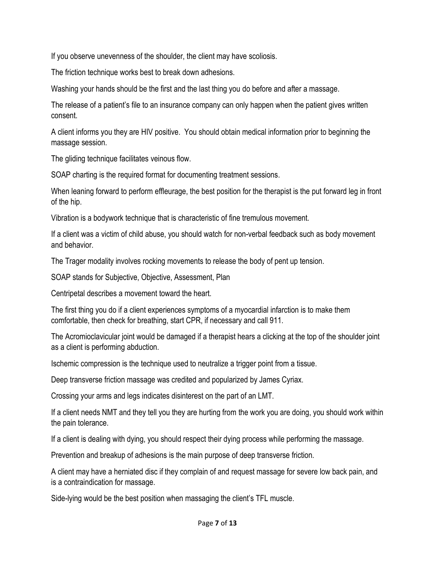If you observe unevenness of the shoulder, the client may have scoliosis.

The friction technique works best to break down adhesions.

Washing your hands should be the first and the last thing you do before and after a massage.

The release of a patient's file to an insurance company can only happen when the patient gives written consent.

A client informs you they are HIV positive. You should obtain medical information prior to beginning the massage session.

The gliding technique facilitates veinous flow.

SOAP charting is the required format for documenting treatment sessions.

When leaning forward to perform effleurage, the best position for the therapist is the put forward leg in front of the hip.

Vibration is a bodywork technique that is characteristic of fine tremulous movement.

If a client was a victim of child abuse, you should watch for non-verbal feedback such as body movement and behavior.

The Trager modality involves rocking movements to release the body of pent up tension.

SOAP stands for Subjective, Objective, Assessment, Plan

Centripetal describes a movement toward the heart.

The first thing you do if a client experiences symptoms of a myocardial infarction is to make them comfortable, then check for breathing, start CPR, if necessary and call 911.

The Acromioclavicular joint would be damaged if a therapist hears a clicking at the top of the shoulder joint as a client is performing abduction.

Ischemic compression is the technique used to neutralize a trigger point from a tissue.

Deep transverse friction massage was credited and popularized by James Cyriax.

Crossing your arms and legs indicates disinterest on the part of an LMT.

If a client needs NMT and they tell you they are hurting from the work you are doing, you should work within the pain tolerance.

If a client is dealing with dying, you should respect their dying process while performing the massage.

Prevention and breakup of adhesions is the main purpose of deep transverse friction.

A client may have a herniated disc if they complain of and request massage for severe low back pain, and is a contraindication for massage.

Side-lying would be the best position when massaging the client's TFL muscle.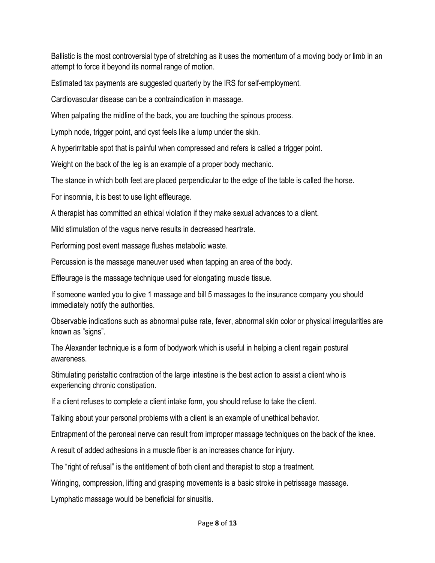Ballistic is the most controversial type of stretching as it uses the momentum of a moving body or limb in an attempt to force it beyond its normal range of motion.

Estimated tax payments are suggested quarterly by the IRS for self-employment.

Cardiovascular disease can be a contraindication in massage.

When palpating the midline of the back, you are touching the spinous process.

Lymph node, trigger point, and cyst feels like a lump under the skin.

A hyperirritable spot that is painful when compressed and refers is called a trigger point.

Weight on the back of the leg is an example of a proper body mechanic.

The stance in which both feet are placed perpendicular to the edge of the table is called the horse.

For insomnia, it is best to use light effleurage.

A therapist has committed an ethical violation if they make sexual advances to a client.

Mild stimulation of the vagus nerve results in decreased heartrate.

Performing post event massage flushes metabolic waste.

Percussion is the massage maneuver used when tapping an area of the body.

Effleurage is the massage technique used for elongating muscle tissue.

If someone wanted you to give 1 massage and bill 5 massages to the insurance company you should immediately notify the authorities.

Observable indications such as abnormal pulse rate, fever, abnormal skin color or physical irregularities are known as "signs".

The Alexander technique is a form of bodywork which is useful in helping a client regain postural awareness.

Stimulating peristaltic contraction of the large intestine is the best action to assist a client who is experiencing chronic constipation.

If a client refuses to complete a client intake form, you should refuse to take the client.

Talking about your personal problems with a client is an example of unethical behavior.

Entrapment of the peroneal nerve can result from improper massage techniques on the back of the knee.

A result of added adhesions in a muscle fiber is an increases chance for injury.

The "right of refusal" is the entitlement of both client and therapist to stop a treatment.

Wringing, compression, lifting and grasping movements is a basic stroke in petrissage massage.

Lymphatic massage would be beneficial for sinusitis.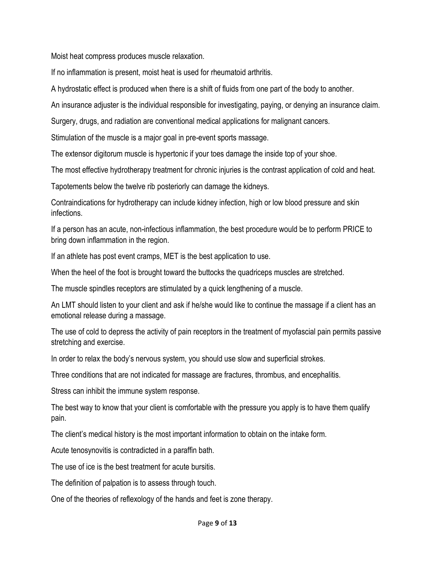Moist heat compress produces muscle relaxation.

If no inflammation is present, moist heat is used for rheumatoid arthritis.

A hydrostatic effect is produced when there is a shift of fluids from one part of the body to another.

An insurance adjuster is the individual responsible for investigating, paying, or denying an insurance claim.

Surgery, drugs, and radiation are conventional medical applications for malignant cancers.

Stimulation of the muscle is a major goal in pre-event sports massage.

The extensor digitorum muscle is hypertonic if your toes damage the inside top of your shoe.

The most effective hydrotherapy treatment for chronic injuries is the contrast application of cold and heat.

Tapotements below the twelve rib posteriorly can damage the kidneys.

Contraindications for hydrotherapy can include kidney infection, high or low blood pressure and skin infections.

If a person has an acute, non-infectious inflammation, the best procedure would be to perform PRICE to bring down inflammation in the region.

If an athlete has post event cramps, MET is the best application to use.

When the heel of the foot is brought toward the buttocks the quadriceps muscles are stretched.

The muscle spindles receptors are stimulated by a quick lengthening of a muscle.

An LMT should listen to your client and ask if he/she would like to continue the massage if a client has an emotional release during a massage.

The use of cold to depress the activity of pain receptors in the treatment of myofascial pain permits passive stretching and exercise.

In order to relax the body's nervous system, you should use slow and superficial strokes.

Three conditions that are not indicated for massage are fractures, thrombus, and encephalitis.

Stress can inhibit the immune system response.

The best way to know that your client is comfortable with the pressure you apply is to have them qualify pain.

The client's medical history is the most important information to obtain on the intake form.

Acute tenosynovitis is contradicted in a paraffin bath.

The use of ice is the best treatment for acute bursitis.

The definition of palpation is to assess through touch.

One of the theories of reflexology of the hands and feet is zone therapy.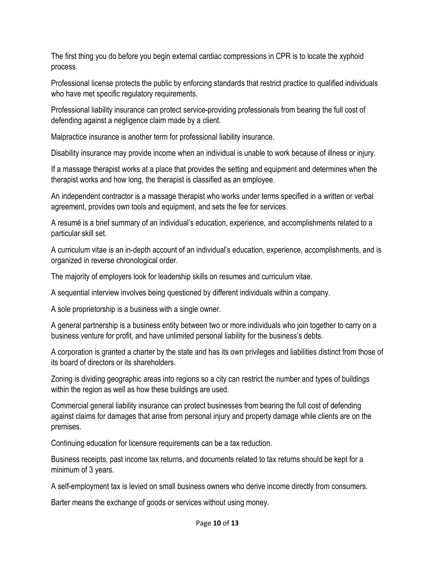The first thing you do before you begin external cardiac compressions in CPR is to locate the xyphoid process.

Professional license protects the public by enforcing standards that restrict practice to qualified individuals who have met specific regulatory requirements.

Professional liability insurance can protect service-providing professionals from bearing the full cost of defending against a negligence claim made by a client.

Malpractice insurance is another term for professional liability insurance.

Disability insurance may provide income when an individual is unable to work because of illness or injury.

If a massage therapist works at a place that provides the setting and equipment and determines when the therapist works and how long, the therapist is classified as an employee.

An independent contractor is a massage therapist who works under terms specified in a written or verbal agreement, provides own tools and equipment, and sets the fee for services.

A resumé is a brief summary of an individual's education, experience, and accomplishments related to a particular skill set.

A curriculum vitae is an in-depth account of an individual's education, experience, accomplishments, and is organized in reverse chronological order.

The majority of employers look for leadership skills on resumes and curriculum vitae.

A sequential interview involves being questioned by different individuals within a company.

A sole proprietorship is a business with a single owner.

A general partnership is a business entity between two or more individuals who join together to carry on a business venture for profit, and have unlimited personal liability for the business's debts.

A corporation is granted a charter by the state and has its own privileges and liabilities distinct from those of its board of directors or its shareholders.

Zoning is dividing geographic areas into regions so a city can restrict the number and types of buildings within the region as well as how these buildings are used.

Commercial general liability insurance can protect businesses from bearing the full cost of defending against claims for damages that arise from personal injury and property damage while clients are on the premises.

Continuing education for licensure requirements can be a tax reduction.

Business receipts, past income tax returns, and documents related to tax returns should be kept for a minimum of 3 years.

A self-employment tax is levied on small business owners who derive income directly from consumers.

Barter means the exchange of goods or services without using money.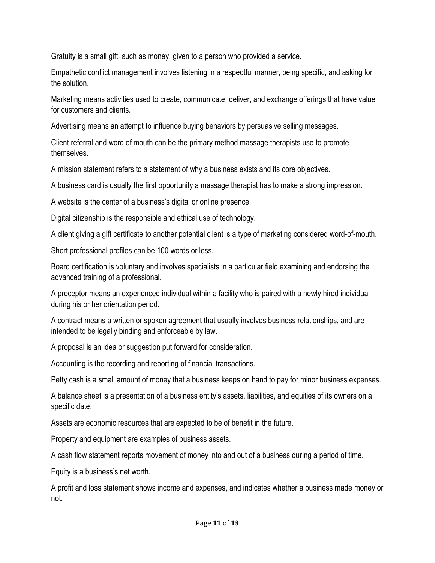Gratuity is a small gift, such as money, given to a person who provided a service.

Empathetic conflict management involves listening in a respectful manner, being specific, and asking for the solution.

Marketing means activities used to create, communicate, deliver, and exchange offerings that have value for customers and clients.

Advertising means an attempt to influence buying behaviors by persuasive selling messages.

Client referral and word of mouth can be the primary method massage therapists use to promote themselves.

A mission statement refers to a statement of why a business exists and its core objectives.

A business card is usually the first opportunity a massage therapist has to make a strong impression.

A website is the center of a business's digital or online presence.

Digital citizenship is the responsible and ethical use of technology.

A client giving a gift certificate to another potential client is a type of marketing considered word-of-mouth.

Short professional profiles can be 100 words or less.

Board certification is voluntary and involves specialists in a particular field examining and endorsing the advanced training of a professional.

A preceptor means an experienced individual within a facility who is paired with a newly hired individual during his or her orientation period.

A contract means a written or spoken agreement that usually involves business relationships, and are intended to be legally binding and enforceable by law.

A proposal is an idea or suggestion put forward for consideration.

Accounting is the recording and reporting of financial transactions.

Petty cash is a small amount of money that a business keeps on hand to pay for minor business expenses.

A balance sheet is a presentation of a business entity's assets, liabilities, and equities of its owners on a specific date.

Assets are economic resources that are expected to be of benefit in the future.

Property and equipment are examples of business assets.

A cash flow statement reports movement of money into and out of a business during a period of time.

Equity is a business's net worth.

A profit and loss statement shows income and expenses, and indicates whether a business made money or not.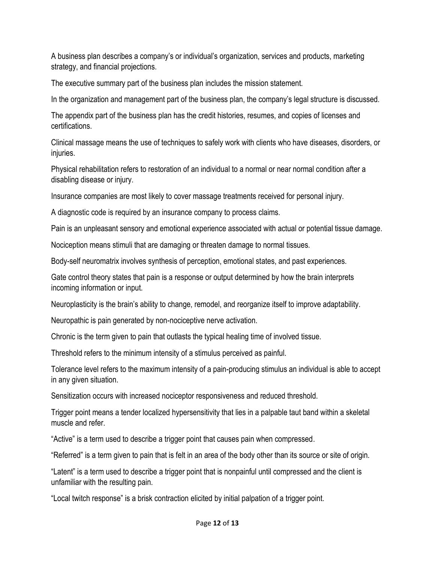A business plan describes a company's or individual's organization, services and products, marketing strategy, and financial projections.

The executive summary part of the business plan includes the mission statement.

In the organization and management part of the business plan, the company's legal structure is discussed.

The appendix part of the business plan has the credit histories, resumes, and copies of licenses and certifications.

Clinical massage means the use of techniques to safely work with clients who have diseases, disorders, or injuries.

Physical rehabilitation refers to restoration of an individual to a normal or near normal condition after a disabling disease or injury.

Insurance companies are most likely to cover massage treatments received for personal injury.

A diagnostic code is required by an insurance company to process claims.

Pain is an unpleasant sensory and emotional experience associated with actual or potential tissue damage.

Nociception means stimuli that are damaging or threaten damage to normal tissues.

Body-self neuromatrix involves synthesis of perception, emotional states, and past experiences.

Gate control theory states that pain is a response or output determined by how the brain interprets incoming information or input.

Neuroplasticity is the brain's ability to change, remodel, and reorganize itself to improve adaptability.

Neuropathic is pain generated by non-nociceptive nerve activation.

Chronic is the term given to pain that outlasts the typical healing time of involved tissue.

Threshold refers to the minimum intensity of a stimulus perceived as painful.

Tolerance level refers to the maximum intensity of a pain-producing stimulus an individual is able to accept in any given situation.

Sensitization occurs with increased nociceptor responsiveness and reduced threshold.

Trigger point means a tender localized hypersensitivity that lies in a palpable taut band within a skeletal muscle and refer.

"Active" is a term used to describe a trigger point that causes pain when compressed.

"Referred" is a term given to pain that is felt in an area of the body other than its source or site of origin.

"Latent" is a term used to describe a trigger point that is nonpainful until compressed and the client is unfamiliar with the resulting pain.

"Local twitch response" is a brisk contraction elicited by initial palpation of a trigger point.